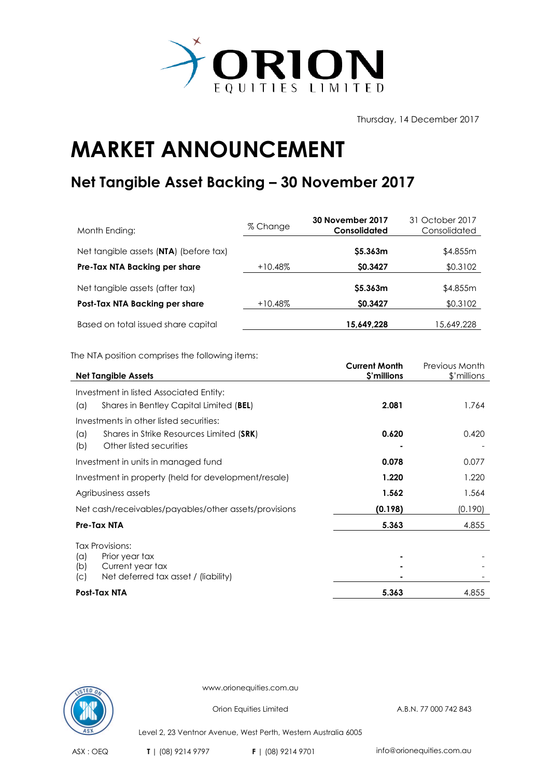

Thursday, 14 December 2017

## **MARKET ANNOUNCEMENT**

## **Net Tangible Asset Backing – 30 November 2017**

| Month Ending:                          | % Change   | 30 November 2017<br><b>Consolidated</b> | 31 October 2017<br>Consolidated |
|----------------------------------------|------------|-----------------------------------------|---------------------------------|
| Net tangible assets (NTA) (before tax) |            | \$5.363m                                | \$4.855m                        |
| Pre-Tax NTA Backing per share          | $+10.48\%$ | \$0.3427                                | \$0.3102                        |
| Net tangible assets (after tax)        |            | \$5.363m                                | \$4.855m                        |
| Post-Tax NTA Backing per share         | $+10.48\%$ | <b>SO.3427</b>                          | \$0.3102                        |
| Based on total issued share capital    |            | 15,649,228                              | 15,649,228                      |

The NTA position comprises the following items:

| <b>Net Tangible Assets</b>                                      | <b>Current Month</b><br>\$'millions | <b>Previous Month</b><br>\$'millions |
|-----------------------------------------------------------------|-------------------------------------|--------------------------------------|
| Investment in listed Associated Entity:                         |                                     |                                      |
| Shares in Bentley Capital Limited (BEL)<br>(a)                  | 2.081                               | 1.764                                |
| Investments in other listed securities:                         |                                     |                                      |
| Shares in Strike Resources Limited (SRK)<br>(a)                 | 0.620                               | 0.420                                |
| Other listed securities<br>(b)                                  |                                     |                                      |
| Investment in units in managed fund                             | 0.078                               | 0.077                                |
| Investment in property (held for development/resale)            | 1.220                               | 1.220                                |
| Agribusiness assets                                             | 1.562                               | 1.564                                |
| Net cash/receivables/payables/other assets/provisions           | (0.198)                             | (0.190)                              |
| Pre-Tax NTA                                                     | 5.363                               | 4.855                                |
| <b>Tax Provisions:</b>                                          |                                     |                                      |
| (a)<br>Prior year tax                                           |                                     |                                      |
| Current year tax<br>(b)<br>Net deferred tax asset / (liability) |                                     |                                      |
| (C)                                                             |                                     |                                      |
| Post-Tax NTA                                                    | 5.363                               | 4.855                                |



www.orionequities.com.au

Orion Equities Limited A.B.N. 77 000 742 843

Level 2, 23 Ventnor Avenue, West Perth, Western Australia 6005